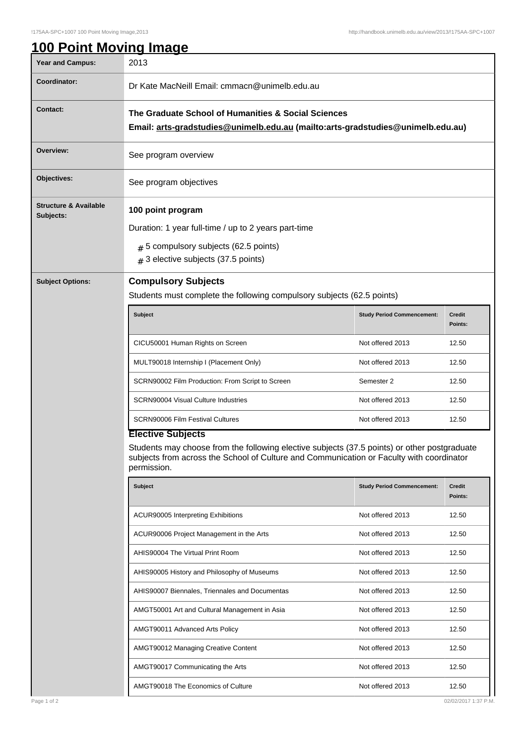| Year and Campus:                              | 2013                                                                                                                                                                                                                                                                                                 |                                   |                          |  |  |
|-----------------------------------------------|------------------------------------------------------------------------------------------------------------------------------------------------------------------------------------------------------------------------------------------------------------------------------------------------------|-----------------------------------|--------------------------|--|--|
| Coordinator:                                  | Dr Kate MacNeill Email: cmmacn@unimelb.edu.au                                                                                                                                                                                                                                                        |                                   |                          |  |  |
| <b>Contact:</b>                               | The Graduate School of Humanities & Social Sciences<br>Email: arts-gradstudies@unimelb.edu.au (mailto:arts-gradstudies@unimelb.edu.au)                                                                                                                                                               |                                   |                          |  |  |
| Overview:                                     | See program overview                                                                                                                                                                                                                                                                                 |                                   |                          |  |  |
| Objectives:                                   | See program objectives                                                                                                                                                                                                                                                                               |                                   |                          |  |  |
| <b>Structure &amp; Available</b><br>Subjects: | 100 point program<br>Duration: 1 year full-time / up to 2 years part-time<br>$#$ 5 compulsory subjects (62.5 points)<br>3 elective subjects (37.5 points)<br>#                                                                                                                                       |                                   |                          |  |  |
| <b>Subject Options:</b>                       | <b>Compulsory Subjects</b><br>Students must complete the following compulsory subjects (62.5 points)                                                                                                                                                                                                 |                                   |                          |  |  |
|                                               | <b>Subject</b>                                                                                                                                                                                                                                                                                       | <b>Study Period Commencement:</b> | <b>Credit</b><br>Points: |  |  |
|                                               | CICU50001 Human Rights on Screen                                                                                                                                                                                                                                                                     | Not offered 2013                  | 12.50                    |  |  |
|                                               | MULT90018 Internship I (Placement Only)                                                                                                                                                                                                                                                              | Not offered 2013                  | 12.50                    |  |  |
|                                               | SCRN90002 Film Production: From Script to Screen                                                                                                                                                                                                                                                     | Semester 2                        | 12.50                    |  |  |
|                                               | <b>SCRN90004 Visual Culture Industries</b>                                                                                                                                                                                                                                                           | Not offered 2013                  | 12.50                    |  |  |
|                                               | <b>SCRN90006 Film Festival Cultures</b>                                                                                                                                                                                                                                                              | Not offered 2013                  | 12.50                    |  |  |
|                                               | <b>Elective Subjects</b><br>Students may choose from the following elective subjects (37.5 points) or other postgraduate<br>subjects from across the School of Culture and Communication or Faculty with coordinator<br>permission.<br><b>Subject</b><br><b>Study Period Commencement:</b><br>Credit |                                   |                          |  |  |
|                                               |                                                                                                                                                                                                                                                                                                      |                                   | Points:                  |  |  |
|                                               | ACUR90005 Interpreting Exhibitions                                                                                                                                                                                                                                                                   | Not offered 2013                  | 12.50                    |  |  |
|                                               | ACUR90006 Project Management in the Arts                                                                                                                                                                                                                                                             | Not offered 2013                  | 12.50                    |  |  |
|                                               | AHIS90004 The Virtual Print Room                                                                                                                                                                                                                                                                     | Not offered 2013                  | 12.50                    |  |  |
|                                               | AHIS90005 History and Philosophy of Museums                                                                                                                                                                                                                                                          | Not offered 2013                  | 12.50                    |  |  |
|                                               | AHIS90007 Biennales, Triennales and Documentas                                                                                                                                                                                                                                                       | Not offered 2013                  | 12.50                    |  |  |
|                                               | AMGT50001 Art and Cultural Management in Asia                                                                                                                                                                                                                                                        | Not offered 2013                  | 12.50                    |  |  |
|                                               | AMGT90011 Advanced Arts Policy                                                                                                                                                                                                                                                                       | Not offered 2013                  | 12.50                    |  |  |
|                                               | AMGT90012 Managing Creative Content                                                                                                                                                                                                                                                                  | Not offered 2013                  | 12.50                    |  |  |
|                                               | AMGT90017 Communicating the Arts                                                                                                                                                                                                                                                                     | Not offered 2013                  | 12.50                    |  |  |
|                                               | AMGT90018 The Economics of Culture                                                                                                                                                                                                                                                                   | Not offered 2013                  | 12.50                    |  |  |